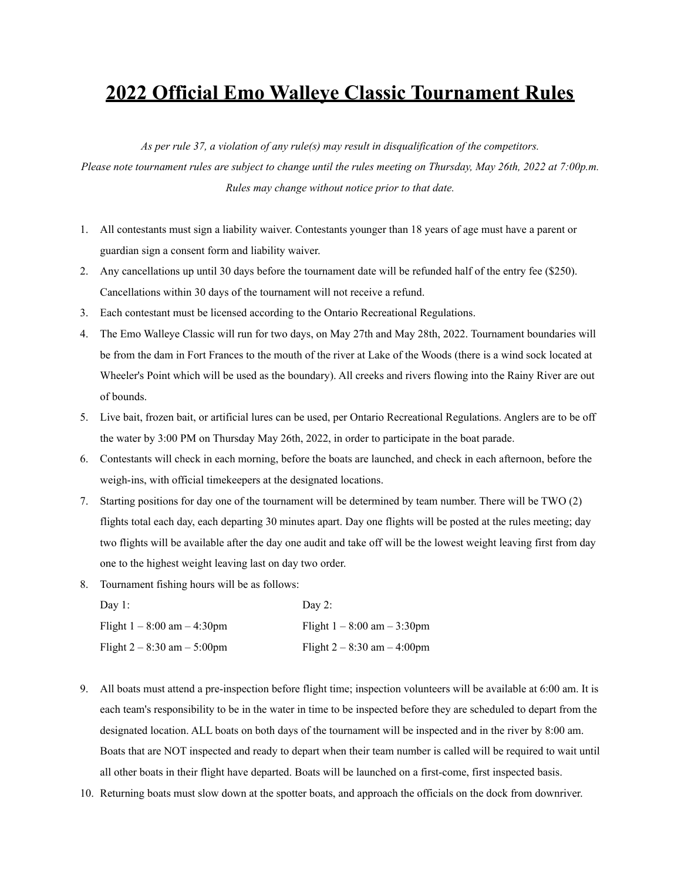## **2022 Official Emo Walleye Classic Tournament Rules**

*As per rule 37, a violation of any rule(s) may result in disqualification of the competitors.* Please note tournament rules are subject to change until the rules meeting on Thursday, May 26th, 2022 at 7:00p.m. *Rules may change without notice prior to that date.*

- 1. All contestants must sign a liability waiver. Contestants younger than 18 years of age must have a parent or guardian sign a consent form and liability waiver.
- 2. Any cancellations up until 30 days before the tournament date will be refunded half of the entry fee (\$250). Cancellations within 30 days of the tournament will not receive a refund.
- 3. Each contestant must be licensed according to the Ontario Recreational Regulations.
- 4. The Emo Walleye Classic will run for two days, on May 27th and May 28th, 2022. Tournament boundaries will be from the dam in Fort Frances to the mouth of the river at Lake of the Woods (there is a wind sock located at Wheeler's Point which will be used as the boundary). All creeks and rivers flowing into the Rainy River are out of bounds.
- 5. Live bait, frozen bait, or artificial lures can be used, per Ontario Recreational Regulations. Anglers are to be off the water by 3:00 PM on Thursday May 26th, 2022, in order to participate in the boat parade.
- 6. Contestants will check in each morning, before the boats are launched, and check in each afternoon, before the weigh-ins, with official timekeepers at the designated locations.
- 7. Starting positions for day one of the tournament will be determined by team number. There will be TWO (2) flights total each day, each departing 30 minutes apart. Day one flights will be posted at the rules meeting; day two flights will be available after the day one audit and take off will be the lowest weight leaving first from day one to the highest weight leaving last on day two order.
- 8. Tournament fishing hours will be as follows:

| Day 1:                           | Day 2:                           |
|----------------------------------|----------------------------------|
| Flight $1 - 8:00$ am $- 4:30$ pm | Flight $1 - 8:00$ am $- 3:30$ pm |
| Flight $2 - 8:30$ am $- 5:00$ pm | Flight $2 - 8:30$ am $- 4:00$ pm |

- 9. All boats must attend a pre-inspection before flight time; inspection volunteers will be available at 6:00 am. It is each team's responsibility to be in the water in time to be inspected before they are scheduled to depart from the designated location. ALL boats on both days of the tournament will be inspected and in the river by 8:00 am. Boats that are NOT inspected and ready to depart when their team number is called will be required to wait until all other boats in their flight have departed. Boats will be launched on a first-come, first inspected basis.
- 10. Returning boats must slow down at the spotter boats, and approach the officials on the dock from downriver.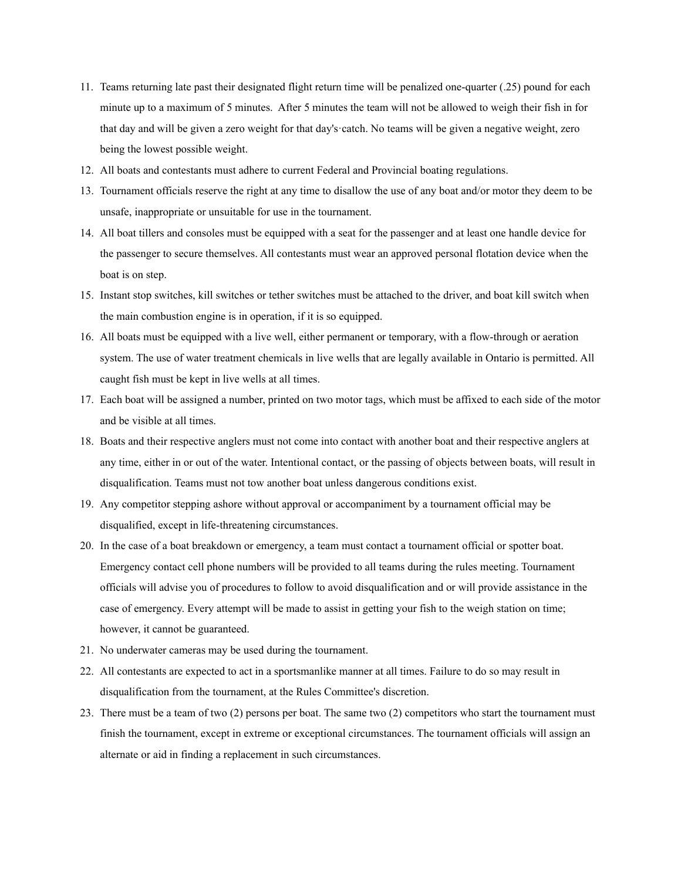- 11. Teams returning late past their designated flight return time will be penalized one-quarter (.25) pound for each minute up to a maximum of 5 minutes. After 5 minutes the team will not be allowed to weigh their fish in for that day and will be given a zero weight for that day's·catch. No teams will be given a negative weight, zero being the lowest possible weight.
- 12. All boats and contestants must adhere to current Federal and Provincial boating regulations.
- 13. Tournament officials reserve the right at any time to disallow the use of any boat and/or motor they deem to be unsafe, inappropriate or unsuitable for use in the tournament.
- 14. All boat tillers and consoles must be equipped with a seat for the passenger and at least one handle device for the passenger to secure themselves. All contestants must wear an approved personal flotation device when the boat is on step.
- 15. Instant stop switches, kill switches or tether switches must be attached to the driver, and boat kill switch when the main combustion engine is in operation, if it is so equipped.
- 16. All boats must be equipped with a live well, either permanent or temporary, with a flow-through or aeration system. The use of water treatment chemicals in live wells that are legally available in Ontario is permitted. All caught fish must be kept in live wells at all times.
- 17. Each boat will be assigned a number, printed on two motor tags, which must be affixed to each side of the motor and be visible at all times.
- 18. Boats and their respective anglers must not come into contact with another boat and their respective anglers at any time, either in or out of the water. Intentional contact, or the passing of objects between boats, will result in disqualification. Teams must not tow another boat unless dangerous conditions exist.
- 19. Any competitor stepping ashore without approval or accompaniment by a tournament official may be disqualified, except in life-threatening circumstances.
- 20. In the case of a boat breakdown or emergency, a team must contact a tournament official or spotter boat. Emergency contact cell phone numbers will be provided to all teams during the rules meeting. Tournament officials will advise you of procedures to follow to avoid disqualification and or will provide assistance in the case of emergency. Every attempt will be made to assist in getting your fish to the weigh station on time; however, it cannot be guaranteed.
- 21. No underwater cameras may be used during the tournament.
- 22. All contestants are expected to act in a sportsmanlike manner at all times. Failure to do so may result in disqualification from the tournament, at the Rules Committee's discretion.
- 23. There must be a team of two (2) persons per boat. The same two (2) competitors who start the tournament must finish the tournament, except in extreme or exceptional circumstances. The tournament officials will assign an alternate or aid in finding a replacement in such circumstances.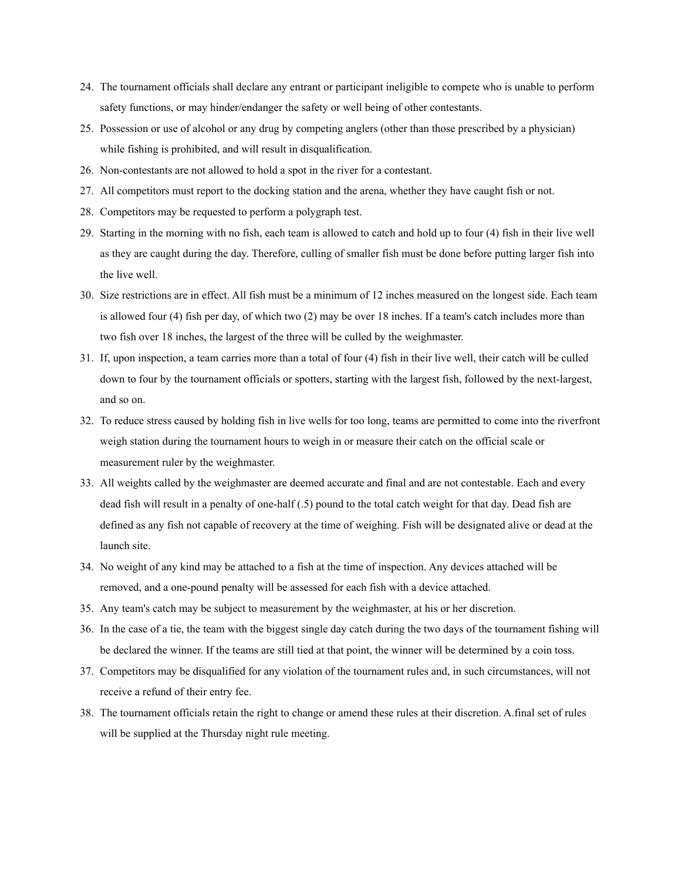- 24. The tournament officials shall declare any entrant or participant ineligible to compete who is unable to perform safety functions, or may hinder/endanger the safety or well being of other contestants.
- 25. Possession or use of alcohol or any drug by competing anglers (other than those prescribed by a physician) while fishing is prohibited, and will result in disqualification.
- 26. Non-contestants are not allowed to hold a spot in the river for a contestant.
- 27. All competitors must report to the docking station and the arena, whether they have caught fish or not.
- 28. Competitors may be requested to perform a polygraph test.
- 29. Starting in the morning with no fish, each team is allowed to catch and hold up to four (4) fish in their live well as they are caught during the day. Therefore, culling of smaller fish must be done before putting larger fish into the live well.
- 30. Size restrictions are in effect. All fish must be a minimum of 12 inches measured on the longest side. Each team is allowed four (4) fish per day, of which two (2) may be over 18 inches. If a team's catch includes more than two fish over 18 inches, the largest of the three will be culled by the weighmaster.
- 31. If, upon inspection, a team carries more than a total of four (4) fish in their live well, their catch will be culled down to four by the tournament officials or spotters, starting with the largest fish, followed by the next-largest, and so on.
- 32. To reduce stress caused by holding fish in live wells for too long, teams are permitted to come into the riverfront weigh station during the tournament hours to weigh in or measure their catch on the official scale or measurement ruler by the weighmaster.
- 33. All weights called by the weighmaster are deemed accurate and final and are not contestable. Each and every dead fish will result in a penalty of one-half (.5) pound to the total catch weight for that day. Dead fish are defined as any fish not capable of recovery at the time of weighing. Fish will be designated alive or dead at the launch site.
- 34. No weight of any kind may be attached to a fish at the time of inspection. Any devices attached will be removed, and a one-pound penalty will be assessed for each fish with a device attached.
- 35. Any team's catch may be subject to measurement by the weighmaster, at his or her discretion.
- 36. In the case of a tie, the team with the biggest single day catch during the two days of the tournament fishing will be declared the winner. If the teams are still tied at that point, the winner will be determined by a coin toss.
- 37. Competitors may be disqualified for any violation of the tournament rules and, in such circumstances, will not receive a refund of their entry fee.
- 38. The tournament officials retain the right to change or amend these rules at their discretion. A.final set of rules will be supplied at the Thursday night rule meeting.